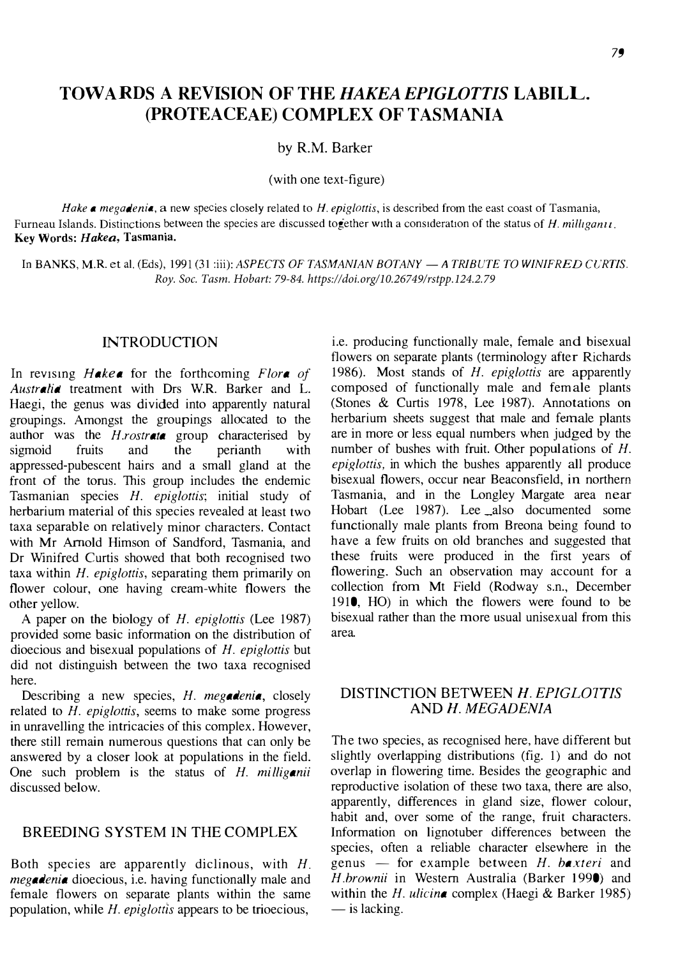# **TOWARDS A REVISION OF THE** *HAKEA EPIGLOTTIS* **LABILL. (PROTEACEAE) COMPLEX OF TASMANIA**

by **R.M.** Barker

(with one text-figure)

*Hake a megadenia*, a new species closely related to *H. epiglottis*, is described from the east coast of Tasmania, Furneau Islands. Distinctions between the species are discussed to eether with a consideration of the status of *H. milliganiz.* **Key Words:** *Hakea,* **Tasmania.**

In BANKS, M.R. et al. (Eds), 1991 (31 :iii): *ASPECTS OF TASMANIAN BOTANY - A TRIBUTE TO WINIFRED CURTIS*. Roy. Soc. Tasm. Hobart: 79-84. https://doi.org/10.26749/rstpp.124.2.79

### INTRODUCTION

In revising *Hakea* for the forthcoming *Flora of Australia* treatment with Drs W.R. Barker and L. Haegi, the genus was divided into apparently natural groupings. Amongst the groupings allocated to the author was the *H.rostrata* group characterised by sigmoid fruits and the perianth with appressed-pubescent hairs and a small gland at the front of the torus. This group includes the endemic Tasmanian species *H. epiglottis;* initial study of herbarium material of this species revealed at least two taxa separable on relatively minor characters. Contact with Mr Arnold Himson of Sandford, Tasmania, and Dr Winifred Curtis showed that both recognised two taxa within *H. epiglottis,* separating them primarily on flower colour, one having cream-white flowers the other yellow.

A paper on the biology of *H. epiglottis* (Lee 1987) provided some basic information on the distribution of dioecious and bisexual populations of *H. epiglottis* but did not distinguish between the two taxa recognised here.

Describing a new species, *H. megadenia,* closely related to *H. epiglottis,* seems to make some progress in umavelling the intricacies of this complex. However, there still remain numerous questions that can only be answered by a closer look at populations in the field. One such problem is the status of *H. milliganii*  discussed below.

### BREEDING SYSTEM IN THE COMPLEX

Both species are apparently diclinous, with *H. megadenia* dioecious, i.e. having functionally male and female flowers on separate plants within the same population, while *H. epiglottis* appears to be trioecious,

i.e. producing functionally male, female and bisexual flowers on separate plants (terminology after Richards 1986). Most stands of *H. epiglottis* are apparently composed of functionally male and female plants (Stones & Curtis 1978, Lee 1987). Annotations on herbarium sheets suggest that male and female plants are in more or less equal numbers when judged by the number of bushes with fruit. Other populations of *H. epiglottis*, in which the bushes apparently all produce bisexual flowers, occur near Beaconsfield, in northern Tasmania, and in the Longley-Margate area near Hobart (Lee 1987). Lee also documented some functionally male plants from Breona being found to have a few fruits on old branches and suggested that these fruits were produced in the first years of flowering. Such an observation may account for a collection from Mt Field (Rodway s.n., December 1910, HO) in which the flowers were found to be bisexual rather than the more usual unisexual from this area.

### **DISTINCTION BETWEEN** *H. EPIGLOITIS*  **AND** *H. MEGADENIA*

The two species, as recognised here, have different but slightly overlapping distributions (fig. 1) and do not overlap in flowering time. Besides the geographic and reproductive isolation of these two taxa, there are also, apparently, differences in gland size, flower colour, habit and, over some of the range, fruit characters. Information on lignotuber differences between the species, often a reliable character elsewhere in the genus � for example between *H. haxteri* and *H.hrownii* in Western Australia (Barker 1990) and within the *H. ulicina* complex (Haegi & Barker 1985) — is lacking.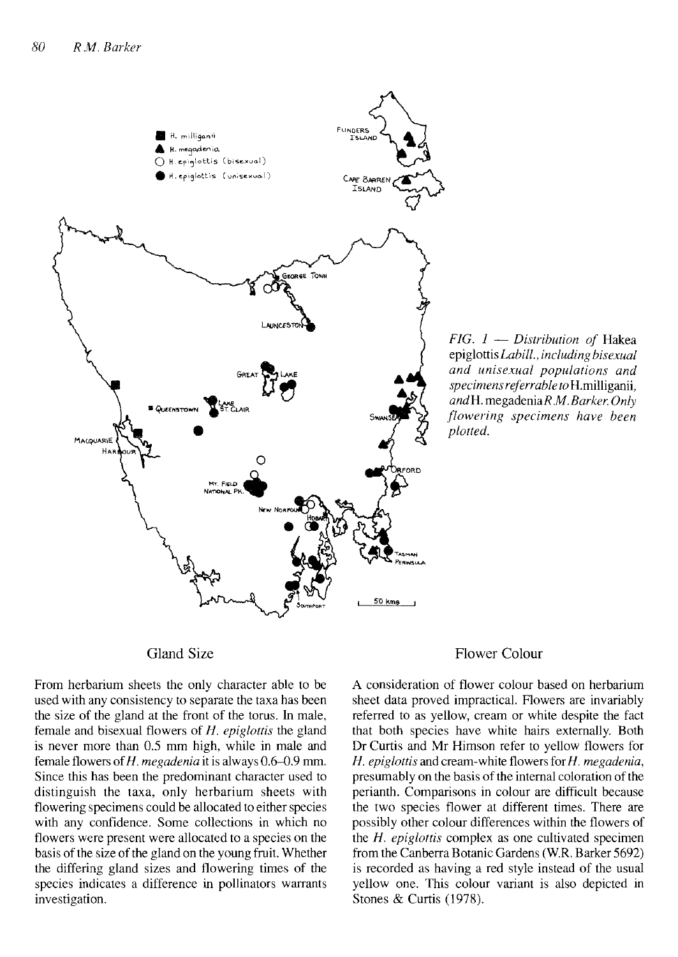

*FIG. 1* -- *Distribution of* Hakea epigiottisLabill., *including bisexual and unisexual populations and specimens referrable to* H.milliganii, *andH. megadeniaR.M.Barker. Only flowering specimens have been plotted.* 

Gland Size

From herbarium sheets the only character able to be used with any consistency to separate the taxa has been the size of the gland at the front of the torus. In male, female and bisexual flowers of H. *epiglottis* the gland is never more than 0.5 mm high, while in male and female flowers of H. *megadenia* it is always 0.6-0.9 mm. Since this has been the predominant character used to distinguish the taxa, only herbarium sheets with flowering specimens could be allocated to either species with any confidence. Some collections in which no flowers were present were allocated to a species on the basis of the size of the gland on the young fruit. Whether the differing gland sizes and flowering times of the species indicates a difference in pollinators warrants investigation.

### Flower Colour

A consideration of flower colour based on herbarium sheet data proved impractical. Flowers are invariably referred to as yellow, cream or white despite the fact that both species have white hairs externally. Both Dr Curtis and Mr Himson refer to yellow flowers for *H. epiglottis* and cream-white flowers for *H. megadenia*, presumably on the basis of the internal coloration of the perianth. Comparisons in colour are difficult because the two species flower at different times. There are possibly other colour differences within the flowers of the H. *epiglottis* complex as one cultivated specimen from the Canberra Botanic Gardens (W.R. Barker 5692) is recorded as having a red style instead of the usual yellow one. This colour variant is also depicted in Stones & Curtis (1978).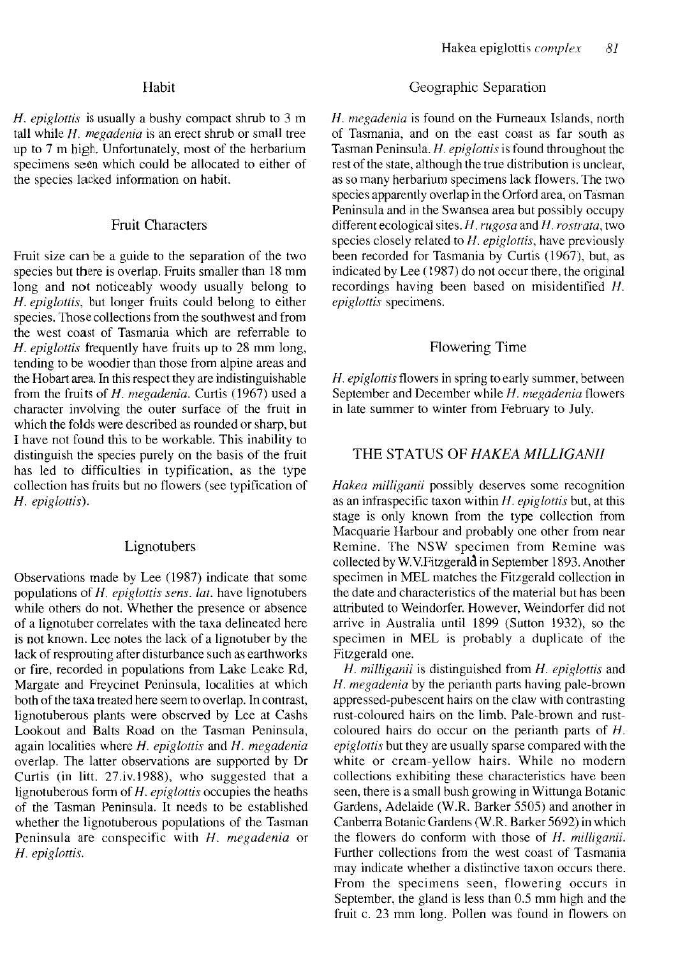#### Habit

*H. epiglottis* is usually a bushy compact shrub to 3 m tall while *H. megadenia* is an erect shrub or small tree up to 7 m high. Unfortunately, most of the herbarium specimens seen which could be allocated to either of the species lacked information on habit.

### Fruit Characters

Fruit size can be a guide to the separation of the two species but there is overlap. Fruits smaller than 18 mm long and not noticeably woody usually belong to *H. epiglottis,* but longer fruits could belong to either species. Those collections from the southwest and from the west coast of Tasmania which are referrable to *H. epiglottis* frequently have fruits up to 28 mm long. tending to be woodier than those from alpine areas and the Hobart area. In this respect they are indistinguishable from the fruits of *H. megadenia.* Curtis (1967) used a character involving the outer surface of the fruit in which the folds were described as rounded or sharp, but I have not found this to be workable. This inability to distinguish the species purely on the basis of the fruit has led to difficulties in typification, as the type collection has fruits but no flowers (see typification of *H. epiglottis).* 

#### Lignotubers

Observations made by Lee (1987) indicate that some populations of *H. epiglottis sens. lat.* have lignotubers while others do not. Whether the presence or absence of a lignotuber correlates with the taxa delineated here is not known. Lee notes the lack of a lignotuber by the lack of resprouting after disturbance such as earthworks or fire, recorded in populations from Lake Leake Rd, Margate and Freycinet Peninsula, localities at which both of the taxa treated here seem to overlap. In contrast, Iignotuberous plants were observed by Lee at Cashs Lookout and Baits Road on the Tasman Peninsula, again localities where *H. epiglottis* and *H. megadenia*  overlap. The latter observations are supported by Dr Curtis (in litt. 27.iv.1988), who suggested that a lignotuberous fonn of *H. epiglottis* occupies the heaths of the Tasman Peninsula. It needs to be established whether the lignotuberous populations of the Tasman Peninsula are conspecific with *H. megadenia* or *H. epiglottis.* 

### Geographic Separation

*H. megadenia* is found on the Furneaux Islands, north of Tasmania, and on the east coast as far south as Tasman Peninsula. *H. epiglottis* is found throughout the rest of the state, although the true distribution is unclear, as so many herbarium specimens lack flowers. The two species apparently overlap in the Orford area, on Tasman Peninsula and in the Swansea area but possibly occupy different ecological sites. H. *rugosa* and H. *rostrata*, two species closely related to  $H$ , epiglottis, have previously been recorded for Tasmania by Curtis (1967), but, as indicated by Lee (1987) do not occur there, the original recordings having been based on misidentified  $H$ . *epiglottis* specimens.

#### Flowering Time

*H. epiglottis* flowers in spring to early summer, between September and December while  $H$ . megadenia flowers in late summer to winter from February to July.

### THE STATUS OF *HAKEA MILLlGANll*

*Hakea milligani!* possibly deserves some recognition as an infra specific taxon within *H. epiglottis* but, at this stage is only known from the type collection from Macquarie Harbour and probably one other from near Remine. The NSW specimen from Remine was collected by W. Y.Fitzgerald in September 1893. Another specimen in MEL matches the Fitzgerald collection in the date and characteristics of the material but has been attributed to Weindorfer. However, Weindorfer did not arrive in Australia until 1899 (Sutton 1932), so the specimen in MEL is probably a duplicate of the Fitzgerald one.

*H. milliganii* is distinguished from H. *epiglottis* and *H. megadenia* by the perianth parts having pale-brown appressed-pubescent hairs on the claw with contrasting rust -coloured hairs on the limb. Pale-brown and rustcoloured hairs do occur on the perianth parts of *H*. *epiglottis* but they are usually sparse compared with the white or cream-yellow hairs. While no modern collections exhibiting these characteristics have been seen, there is a small bush growing in Wittunga Botanic Gardens, Adelaide (W.R. Barker 5505) and another in Canberra Botanic Gardens (W.R. Barker 5692) in which the flowers do conform with those of H. *milliganii*. Further collections from the west coast of Tasmania may indicate whether a distinctive taxon occurs there. From the specimens seen, flowering occurs in September, the gland is less than 0.5 mm high and the fruit c. 23 mm long. Pollen was found in tlowers on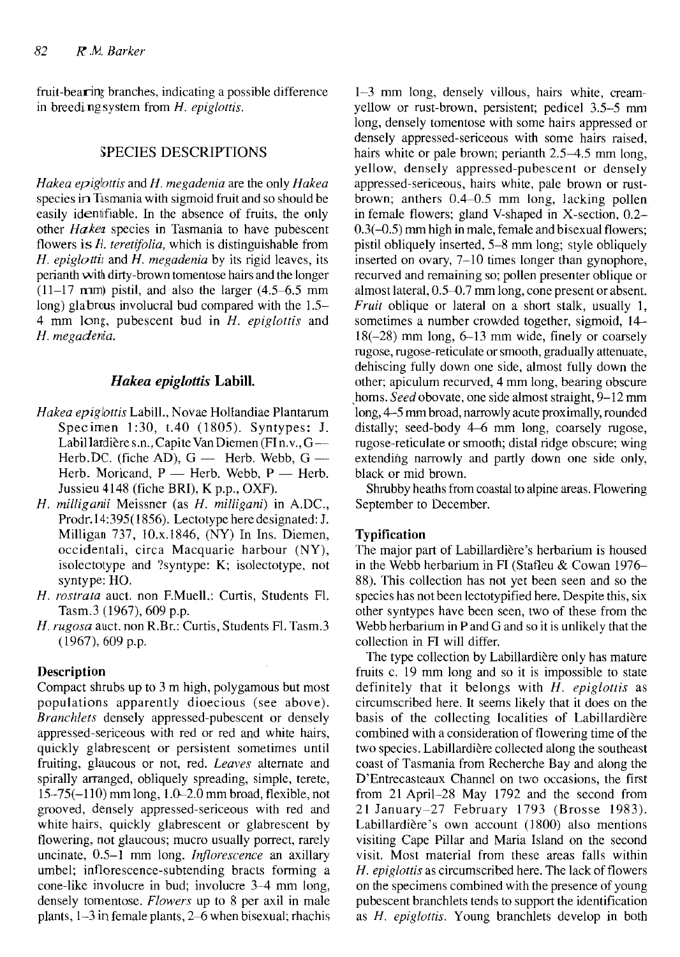fruit-bearing branches, indicating a possible difference in breeding system from *H. epiglottis.* 

### SPECIES DESCRIPTIONS

*Hakea epiglottis* and *H. megadenia* are the only *Hakea*  species in Tasmania with sigmoid fruit and so should be easily identifiable. In the absence of fruits, the only other  $Hakeu$  species in Tasmania to have pubescent flowers is *H. teretifolia*, which is distinguishable from *H. epiglottis* and *H. megadenia* by its rigid leaves, its perianth witil dirty-brown tomentose hairs and the longer  $(11-17 \text{ mm})$  pistil, and also the larger  $(4.5-6.5 \text{ mm})$ long) glabrous involucral bud compared with the 1.5-4 mm long, pubescent bud in *H. epiglottis* and *H. megadenia.* 

# *Hakea epiglottis* Labill.

- *Hakea epiglottis* Labill., Novae Hollandiae Plantarum Specimen 1:30, t.40 (1805). Syntypes: J. Labillardière s.n., Capite Van Diemen (FI n.v., G-Herb.DC. (fiche AD),  $G -$  Herb. Webb,  $G -$ Herb. Moricand,  $P$  - Herb. Webb,  $P$  - Herb. Jussieu 4148 (fiche BRI), K p.p., OXF).
- *H. milligani!* Meissner (as H. *milligani)* in A.DC., Prodr.14:395(1856). Lectotype here designated: J. Milligan 737, 1O.x.1846, (NY) In Ins. Diemen, occidentali, circa Macquarie harbour (NY), isolectotype and ?syntype: K; isolectotype, not syntype: HO.
- H. *rostrata* auct. non F.Muel!.: Curtis, Students FI. Tasm.3 (1967), 609 p.p.
- H. *rugosa* auct. non R.Br.: Curtis, Students FI. Tasm.3 (1967), 609 p.p.

### **Description**

Compact shrubs up to 3 m high, polygamous but most populations apparently dioecious (see above). *Branchlets* densely appressed-pubescent or densely appressed-sericeous with red or red and white hairs, quickly glabrescent or persistent sometimes until fruiting, glaucous or not, red. *Leaves* alternate and spirally arranged, obliquely spreading, simple, terete, 15-75(-110) mm long, 1.0-2.0 mm broad, flexible, not grooved, densely appressed-sericeous with red and white hairs, quickly glabrescent or glabrescent by flowering, not glaucous; mucro usually porrect, rarely uncinate, 0.5-1 mm long. *Inflorescence* an axillary umbel; inflorescence-subtending bracts forming a cone-like involucre in bud; involucre 3-4 mm long, densely tomentose. *Flowers* up to 8 per axil in male plants, 1-3 in female plants, 2-6 when bisexual; rhachis

 $1-3$  mm long, densely villous, hairs white, creamyellow or rust-brown, persistent; pedicel 3.5-5 mm long, densely tomentose with some hairs appressed or densely appressed-sericeous with some hairs raised, hairs white or pale brown; perianth 2.5–4.5 mm long, yellow, densely appressed-pubescent or densely appressed-sericeous, hairs white, pale brown or rustbrown; anthers  $0.4-0.5$  mm long, lacking pollen in female flowers; gland V-shaped in X-section, 0.2- *0.3(-0.5)* rnrn high in male, female and bisexual flowers; pistil obliquely inserted, 5-8 mm long; style obliquely inserted on ovary, 7-10 times longer than gynophore, recurved and remaining so; pollen presenter oblique or almost lateral, *0.5-0.7* mm long, cone present or absent. *Fruit* oblique or lateral on a short stalk, usually 1, sometimes a number crowded together, sigmoid, 14- $18(-28)$  mm long,  $6-13$  mm wide, finely or coarsely rugose, rugose-reticulate or smooth, gradually attenuate, dehiscing fully down one side, almost fully down the other; apiculum recurved, 4 mm long, bearing obscure homs. *Seed* obovate, one side almost straight, 9-12 mm long, 4-5 mm broad, narrowly acute proximally, rounded distally; seed-body 4-6 mm long, coarsely rugose, rugose-reticulate or smooth; distal ridge obscure; wing extending narrowly and partly down one side only, black or mid brown.

Shrubby heaths from coastal to alpine areas. Flowering September to December.

### Typification

The major part of Labillardiere's herbarium is housed in the Webb herbarium in FI (Stafleu & Cowan 1976- 88). This collection has not yet been seen and so the species has not been lectotypified here. Despite this, six other syntypes have been seen, two of these from the Webb herbarium in P and G and so it is unlikely that the collection in PI will differ.

The type collection by Labillardière only has mature fruits c. 19 mm long and so it is impossible to state definitely that it belongs with *H. epiglottis* as circumscribed here. It seems likely that it does on the basis of the collecting localities of Labillardiere combined with a consideration of flowering time of the two species. Labillardière collected along the southeast coast of Tasmania from Recherche Bay and along the D'Entrecasteaux Channel on two occasions, the first from 21 April-28 May 1792 and the second from 21 January-27 February 1793 (Brosse 1983). Labillardière's own account (1800) also mentions visiting Cape Pillar and Maria Island on the second visit. Most material from these areas falls within *H. epiglottis* as circumscribed here. The lack of flowers on the specimens combined with the presence of young pubescent branchlets tends to support the identification as H. *epiglottis.* Young branchlets develop in both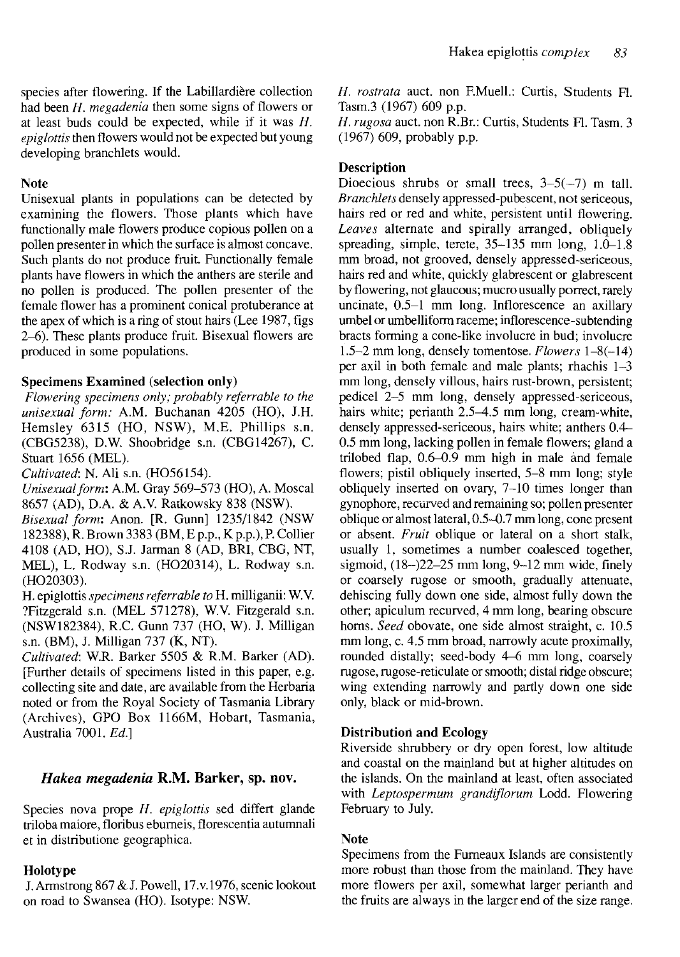species after flowering. If the Labillardière collection had been H. *megadenia* then some signs of flowers or at least buds could be expected, while if it was H. *epiglottis* then flowers would not be expected but young developing branchlets would.

#### Note

Unisexual plants in populations can be detected by examining the flowers. Those plants which have functionally male flowers produce copious pollen on a pollen presenter in which the surface is almost concave. Such plants do not produce fruit. Functionally female plants have flowers in which the anthers are sterile and no pollen is produced. The pollen presenter of the female flower has a prominent conical protuberance at the apex of which is a ring of stout hairs (Lee 1987, figs 2-6). These plants produce fruit. Bisexual flowers are produced in some populations.

#### Specimens Examined (selection only)

*Flowering specimens only; probably referrable to the unisexual form:* A.M. Buchanan 4205 (HO), J.H. Hemsley 6315 (HO, NSW), M.E. Phillips s.n. (CBG5238), D.W Shoobridge s.n. (CBG14267), c. Stuart 1656 (MEL).

*Cultivated:* N. Ali s.n. (H056154).

*Unisexual form:* A.M. Gray 569-573 (HO), A. Mosca! 8657 (AD), D.A. & A.V. Ratkowsky 838 (NSW).

*Bisexual form:* Anon. [R. Gunn] 1235/1842 (NSW 182388), R. Brown 3383 (BM, E p.p., K p.p.), P. Collier 4108 (AD, HO), S.l Jarman 8 (AD, BRI, CBG, NT, MEL), L. Rodway s.n. (H020314), L. Rodway s.n. (H020303).

H. epiglottis *specimens referrable to* H. milliganii: W.v. ?Fitzgerald s.n. (MEL 571278), W.V. Fitzgerald s.n. (NSWI82384), R.C. Gunn 737 (HO, W). J. Milligan s.n. (BM), J. Milligan 737 (K, NT).

*Cultivated:* WR. Barker 5505 & R.M. Barker (AD). [Further details of specimens listed in this paper, e.g. collecting site and date, are available from the Herbaria noted or from the Royal Society of Tasmania Library (Archives), GPO Box 1166M, Hobart, Tasmania, Australia 7001. Ed.]

#### *Hakea megadenia* R.M. Barker, sp. nov.

Species nova prope H. *epiglottis* sed differt glande triloba maiore, floribus eburneis, florescentia autumnali et in distributione geographica.

#### Holotype

J. Armstrong 867 & J. Powell, 17.v.1976, scenic lookout on road to Swansea (HO). Isotype: NSW.

H. *rostrata* auct. non EMuell.: Curtis, Students Fl. Tasm.3 (1967) 609 p.p.

H. *rugosa* auct. non R.Bf.: Curtis, Students FI. Tasm. 3 (1967) 609, probably p.p.

### Description

Dioecious shrubs or small trees,  $3-5(-7)$  m tall. *Branchlets* densely appressed-pubescent, not sericeous, hairs red or red and white, persistent until flowering. *Leaves* alternate and spirally arranged, obliquely spreading, simple, terete,  $35-135$  mm long,  $1.0-1.8$ mm broad, not grooved, densely appressed-sericeous, hairs red and white, quickly glabrescent or glabrescent by flowering, not glaucous; mucro usually porrect, rarely uncinate, 0.5-1 mm long. Inflorescence an axillary umbel or umbelliform raceme; inflorescence-subtending bracts forming a cone-like involucre in bud; involucre 1.5-2 mm long, densely tomentose. *Flowers* 1-8(-14) per axil in both female and male plants; rhachis 1-3 mm long, densely villous, hairs rust-brown, persistent; pedicel 2-5 mm long, densely appressed-sericeous, hairs white; perianth 2.5–4.5 mm long, cream-white, densely appressed-sericeous, hairs white; anthers 0.4- 0.5 mm long, lacking pollen in female flowers; gland a trilobed flap, 0.6-0.9 mm high in male and female flowers; pistil obliquely inserted, 5-8 mm long; style obliquely inserted on ovary, 7-10 times longer than gynophore, recurved and remaining so; pollen presenter oblique or almost lateral, OS-D.7 mm long, cone present or absent. *Fruit* oblique or lateral on a short stalk, usually 1, sometimes a number coalesced together, sigmoid,  $(18-22-25 \text{ mm} \cdot \text{long}, 9-12 \text{ mm} \cdot \text{wide}, \text{finely})$ or coarsely rugose or smooth, gradually attenuate, dehiscing fully down one side, almost fully down the other; apiculum recurved, 4 mm long, bearing obscure horns. *Seed* obovate, one side almost straight, c. 10.5 mm long, c. 4.5 mm broad, narrowly acute proximally, rounded distally; seed-body 4-6 mm long, coarsely rugose, rugose-reticulate or smooth; distal ridge obscure; wing extending narrowly and partly down one side only, black or mid-brown.

#### Distribution and Ecology

Riverside shrubbery or dry open forest, low altitude and coastal on the mainland but at higher altitudes on the islands. On the mainland at least, often associated with *Leptospermum grandifiorum* Lodd. Flowering February to July.

#### Note

Specimens from the Fumeaux Islands are consistently more robust than those from the mainland. They have more flowers per axil, somewhat larger perianth and the fruits are always in the larger end of the size range.